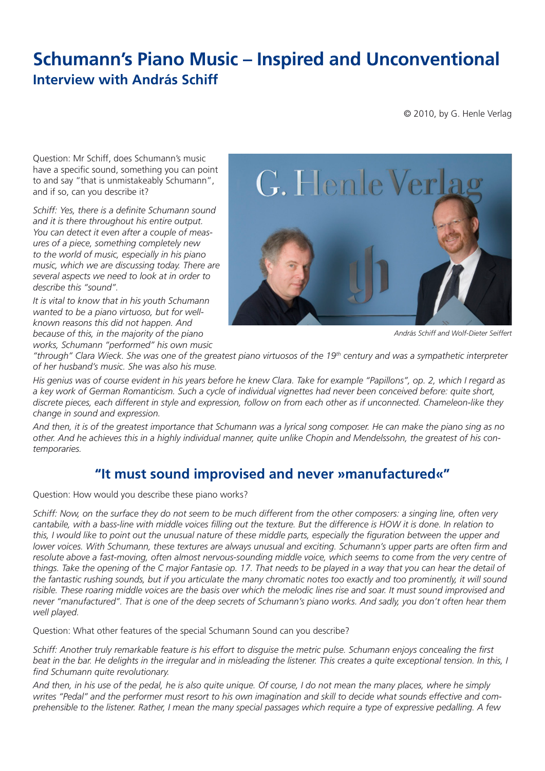## **Schumann's Piano Music – Inspired and Unconventional Interview with András Schiff**

© 2010, by G. Henle Verlag

Question: Mr Schiff, does Schumann's music have a specific sound, something you can point to and say "that is unmistakeably Schumann", and if so, can you describe it?

*Schiff: Yes, there is a definite Schumann sound and it is there throughout his entire output. You can detect it even after a couple of measures of a piece, something completely new to the world of music, especially in his piano music, which we are discussing today. There are several aspects we need to look at in order to describe this "sound".*

*It is vital to know that in his youth Schumann wanted to be a piano virtuoso, but for wellknown reasons this did not happen. And because of this, in the majority of the piano works, Schumann "performed" his own music* 



*András Schiff and Wolf-Dieter Seiffert*

*"through" Clara Wieck. She was one of the greatest piano virtuosos of the 19th century and was a sympathetic interpreter of her husband's music. She was also his muse.*

*His genius was of course evident in his years before he knew Clara. Take for example "Papillons", op. 2, which I regard as a key work of German Romanticism. Such a cycle of individual vignettes had never been conceived before: quite short, discrete pieces, each different in style and expression, follow on from each other as if unconnected. Chameleon-like they change in sound and expression.*

*And then, it is of the greatest importance that Schumann was a lyrical song composer. He can make the piano sing as no other. And he achieves this in a highly individual manner, quite unlike Chopin and Mendelssohn, the greatest of his contemporaries.*

## **"It must sound improvised and never »manufactured«"**

Question: How would you describe these piano works?

*Schiff: Now, on the surface they do not seem to be much different from the other composers: a singing line, often very cantabile, with a bass-line with middle voices filling out the texture. But the difference is HOW it is done. In relation to this, I would like to point out the unusual nature of these middle parts, especially the figuration between the upper and lower voices. With Schumann, these textures are always unusual and exciting. Schumann's upper parts are often firm and resolute above a fast-moving, often almost nervous-sounding middle voice, which seems to come from the very centre of things. Take the opening of the C major Fantasie op. 17. That needs to be played in a way that you can hear the detail of the fantastic rushing sounds, but if you articulate the many chromatic notes too exactly and too prominently, it will sound risible. These roaring middle voices are the basis over which the melodic lines rise and soar. It must sound improvised and never "manufactured". That is one of the deep secrets of Schumann's piano works. And sadly, you don't often hear them well played.*

Question: What other features of the special Schumann Sound can you describe?

*Schiff: Another truly remarkable feature is his effort to disguise the metric pulse. Schumann enjoys concealing the first beat in the bar. He delights in the irregular and in misleading the listener. This creates a quite exceptional tension. In this, I find Schumann quite revolutionary.*

*And then, in his use of the pedal, he is also quite unique. Of course, I do not mean the many places, where he simply writes "Pedal" and the performer must resort to his own imagination and skill to decide what sounds effective and comprehensible to the listener. Rather, I mean the many special passages which require a type of expressive pedalling. A few*